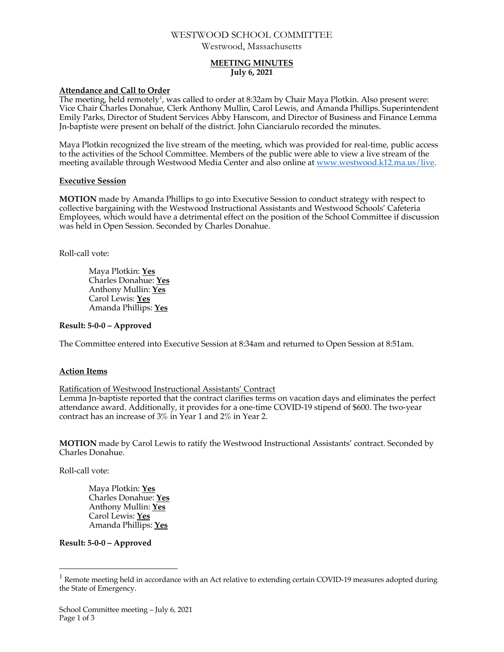# WESTWOOD SCHOOL COMMITTEE

Westwood, Massachusetts

# **MEETING MINUTES July 6, 2021**

# **Attendance and Call to Order**

The meeting, held remotely<sup>1</sup>, was called to order at 8:32am by Chair Maya Plotkin. Also present were: Vice Chair Charles Donahue, Clerk Anthony Mullin, Carol Lewis, and Amanda Phillips. Superintendent Emily Parks, Director of Student Services Abby Hanscom, and Director of Business and Finance Lemma Jn-baptiste were present on behalf of the district. John Cianciarulo recorded the minutes.

Maya Plotkin recognized the live stream of the meeting, which was provided for real-time, public access to the activities of the School Committee. Members of the public were able to view a live stream of the meeting available through Westwood Media Center and also online at www.westwood.k12.ma.us/live.

#### **Executive Session**

**MOTION** made by Amanda Phillips to go into Executive Session to conduct strategy with respect to collective bargaining with the Westwood Instructional Assistants and Westwood Schools' Cafeteria Employees, which would have a detrimental effect on the position of the School Committee if discussion was held in Open Session. Seconded by Charles Donahue.

Roll-call vote:

Maya Plotkin: **Yes** Charles Donahue: **Yes** Anthony Mullin: **Yes** Carol Lewis: **Yes** Amanda Phillips: **Yes**

# **Result: 5-0-0 – Approved**

The Committee entered into Executive Session at 8:34am and returned to Open Session at 8:51am.

# **Action Items**

Ratification of Westwood Instructional Assistants' Contract

Lemma Jn-baptiste reported that the contract clarifies terms on vacation days and eliminates the perfect attendance award. Additionally, it provides for a one-time COVID-19 stipend of \$600. The two-year contract has an increase of 3% in Year 1 and 2% in Year 2.

**MOTION** made by Carol Lewis to ratify the Westwood Instructional Assistants' contract. Seconded by Charles Donahue.

Roll-call vote:

Maya Plotkin: **Yes** Charles Donahue: **Yes** Anthony Mullin: **Yes** Carol Lewis: **Yes** Amanda Phillips: **Yes**

# **Result: 5-0-0 – Approved**

 $1$  Remote meeting held in accordance with an Act relative to extending certain COVID-19 measures adopted during the State of Emergency.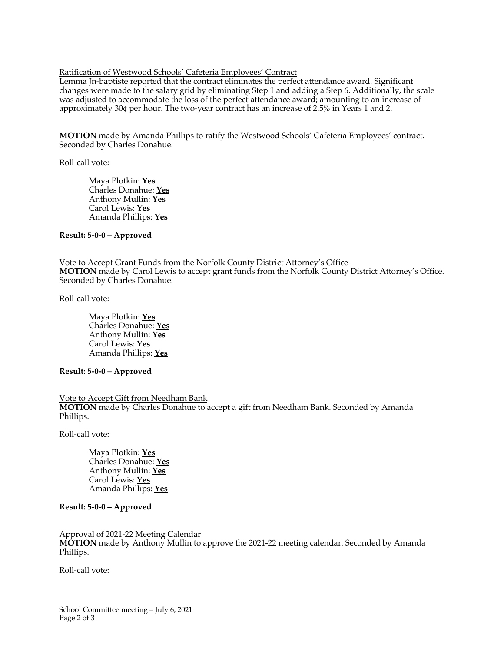#### Ratification of Westwood Schools' Cafeteria Employees' Contract

Lemma Jn-baptiste reported that the contract eliminates the perfect attendance award. Significant changes were made to the salary grid by eliminating Step 1 and adding a Step 6. Additionally, the scale was adjusted to accommodate the loss of the perfect attendance award; amounting to an increase of approximately 30¢ per hour. The two-year contract has an increase of 2.5% in Years 1 and 2.

**MOTION** made by Amanda Phillips to ratify the Westwood Schools' Cafeteria Employees' contract. Seconded by Charles Donahue.

Roll-call vote:

Maya Plotkin: **Yes** Charles Donahue: **Yes** Anthony Mullin: **Yes** Carol Lewis: **Yes** Amanda Phillips: **Yes**

#### **Result: 5-0-0 – Approved**

Vote to Accept Grant Funds from the Norfolk County District Attorney's Office **MOTION** made by Carol Lewis to accept grant funds from the Norfolk County District Attorney's Office. Seconded by Charles Donahue.

Roll-call vote:

Maya Plotkin: **Yes** Charles Donahue: **Yes** Anthony Mullin: **Yes** Carol Lewis: **Yes** Amanda Phillips: **Yes**

# **Result: 5-0-0 – Approved**

#### Vote to Accept Gift from Needham Bank

**MOTION** made by Charles Donahue to accept a gift from Needham Bank. Seconded by Amanda Phillips.

Roll-call vote:

Maya Plotkin: **Yes** Charles Donahue: **Yes** Anthony Mullin: **Yes** Carol Lewis: **Yes** Amanda Phillips: **Yes**

# **Result: 5-0-0 – Approved**

#### Approval of 2021-22 Meeting Calendar

**MOTION** made by Anthony Mullin to approve the 2021-22 meeting calendar. Seconded by Amanda Phillips.

Roll-call vote: